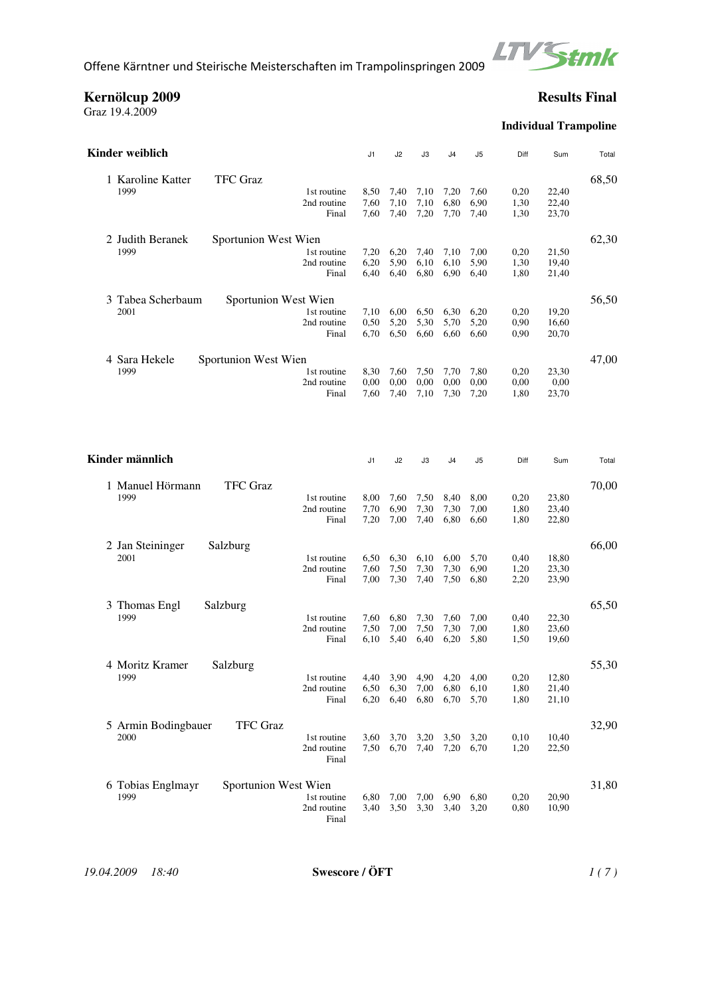

**Kernölcup 2009 Results Final**

Graz 19.4.2009

**Individual Trampoline**

| Kinder weiblich                                                                          | J1                   | J <sub>2</sub>       | JЗ                   | J4                   | J5                   | Diff                 | Sum                     | Total |
|------------------------------------------------------------------------------------------|----------------------|----------------------|----------------------|----------------------|----------------------|----------------------|-------------------------|-------|
| 1 Karoline Katter<br><b>TFC Graz</b><br>1999<br>1st routine<br>2nd routine<br>Final      | 8,50<br>7,60<br>7,60 | 7,40<br>7,10<br>7,40 | 7,10<br>7,10<br>7,20 | 7,20<br>6,80<br>7,70 | 7,60<br>6,90<br>7,40 | 0,20<br>1,30<br>1,30 | 22,40<br>22,40<br>23,70 | 68,50 |
| Sportunion West Wien<br>2 Judith Beranek<br>1999<br>1st routine<br>2nd routine<br>Final  | 7,20<br>6,20<br>6,40 | 6,20<br>5,90<br>6,40 | 7,40<br>6,10<br>6,80 | 7,10<br>6,10<br>6,90 | 7,00<br>5,90<br>6,40 | 0,20<br>1,30<br>1,80 | 21,50<br>19,40<br>21,40 | 62,30 |
| Sportunion West Wien<br>3 Tabea Scherbaum<br>2001<br>1st routine<br>2nd routine<br>Final | 7,10<br>0.50<br>6,70 | 6,00<br>5,20<br>6,50 | 6,50<br>5,30<br>6,60 | 6,30<br>5,70<br>6,60 | 6,20<br>5,20<br>6,60 | 0,20<br>0,90<br>0,90 | 19,20<br>16,60<br>20,70 | 56,50 |
| Sportunion West Wien<br>4 Sara Hekele<br>1999<br>1st routine<br>2nd routine<br>Final     | 8,30<br>0,00<br>7,60 | 7,60<br>0,00<br>7,40 | 7,50<br>0,00<br>7,10 | 7,70<br>0,00<br>7,30 | 7,80<br>0,00<br>7,20 | 0,20<br>0,00<br>1,80 | 23,30<br>0,00<br>23,70  | 47,00 |
| Kinder männlich                                                                          | J1                   | J2                   | JЗ                   | J4                   | J5                   | Diff                 | Sum                     | Total |
| <b>TFC</b> Graz<br>1 Manuel Hörmann<br>1999<br>1st routine<br>2nd routine<br>Final       | 8,00<br>7,70<br>7,20 | 7,60<br>6,90<br>7,00 | 7,50<br>7,30<br>7,40 | 8,40<br>7,30<br>6,80 | 8,00<br>7,00<br>6,60 | 0,20<br>1,80<br>1,80 | 23,80<br>23,40<br>22,80 | 70,00 |
| 2 Jan Steininger<br>Salzburg<br>2001<br>1st routine<br>2nd routine<br>Final              | 6,50<br>7,60<br>7,00 | 6,30<br>7,50<br>7,30 | 6,10<br>7,30<br>7,40 | 6,00<br>7,30<br>7,50 | 5,70<br>6,90<br>6,80 | 0,40<br>1,20<br>2,20 | 18,80<br>23,30<br>23,90 | 66,00 |
| 3 Thomas Engl<br>Salzburg<br>1999<br>1st routine<br>2nd routine<br>Final                 | 7,60<br>7,50<br>6,10 | 6,80<br>7,00<br>5,40 | 7,30<br>7,50<br>6,40 | 7,60<br>7,30<br>6,20 | 7,00<br>7,00<br>5,80 | 0,40<br>1,80<br>1,50 | 22,30<br>23,60<br>19,60 | 65,50 |
| 4 Moritz Kramer<br>Salzburg<br>1999<br>1st routine<br>2nd routine<br>Final               | 4,40<br>6,50<br>6,20 | 3,90<br>6,30<br>6,40 | 4,90<br>7,00<br>6,80 | 4,20<br>6,80<br>6,70 | 4,00<br>6,10<br>5,70 | 0,20<br>1,80<br>1,80 | 12,80<br>21,40<br>21,10 | 55,30 |
| <b>TFC</b> Graz<br>5 Armin Bodingbauer<br>2000<br>1st routine<br>2nd routine<br>Final    | 3,60<br>7,50         | 3,70<br>6,70         | 3,20<br>7,40         | 3,50<br>7,20         | 3,20<br>6,70         | 0,10<br>1,20         | 10,40<br>22,50          | 32,90 |
| 6 Tobias Englmayr<br>Sportunion West Wien<br>1999<br>1st routine<br>2nd routine<br>Final | 6,80<br>3,40         | 7,00<br>3,50         | 7,00<br>3,30         | 6,90<br>3,40         | 6,80<br>3,20         | 0,20<br>0,80         | 20,90<br>10,90          | 31,80 |

*19.04.2009 18:40* **Swescore / ÖFT** *1 ( 7 )*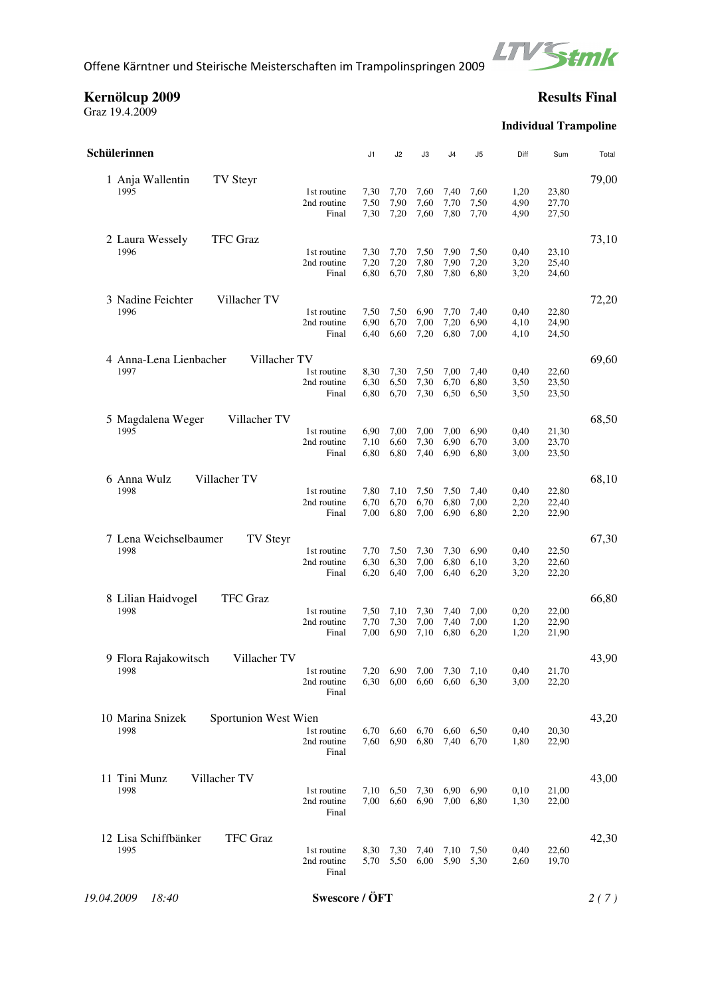

**Kernölcup 2009 Results Final**

Graz 19.4.2009

# **Individual Trampoline**

| Schülerinnen                                     |                                     | J1           | J2                          | J3           | J4           | J <sub>5</sub> | Diff         | Sum            | Total |  |  |  |
|--------------------------------------------------|-------------------------------------|--------------|-----------------------------|--------------|--------------|----------------|--------------|----------------|-------|--|--|--|
| 1 Anja Wallentin                                 | 1st routine                         | 7,30         | 7,70                        | 7,60         | 7,40         | 7,60           | 1,20         | 23,80          | 79,00 |  |  |  |
| TV Steyr                                         | 2nd routine                         | 7,50         | 7,90                        | 7,60         | 7,70         | 7,50           | 4,90         | 27,70          |       |  |  |  |
| 1995                                             | Final                               | 7,30         | 7,20                        | 7,60         | 7,80         | 7,70           | 4,90         | 27,50          |       |  |  |  |
| <b>TFC</b> Graz                                  | 1st routine                         | 7,30         | 7,70                        | 7,50         | 7,90         | 7,50           | 0,40         | 23,10          | 73,10 |  |  |  |
| 2 Laura Wessely                                  | 2nd routine                         | 7,20         | 7,20                        | 7,80         | 7,90         | 7,20           | 3,20         | 25,40          |       |  |  |  |
| 1996                                             | Final                               | 6,80         | 6,70                        | 7,80         | 7,80         | 6,80           | 3,20         | 24,60          |       |  |  |  |
| Villacher TV                                     | 1st routine                         | 7,50         | 7,50                        | 6,90         | 7,70         | 7,40           | 0,40         | 22,80          | 72,20 |  |  |  |
| 3 Nadine Feichter                                | 2nd routine                         | 6,90         | 6,70                        | 7,00         | 7,20         | 6,90           | 4,10         | 24,90          |       |  |  |  |
| 1996                                             | Final                               | 6,40         | 6,60                        | 7,20         | 6,80         | 7,00           | 4,10         | 24,50          |       |  |  |  |
| 4 Anna-Lena Lienbacher                           | 1st routine                         | 8,30         | 7,30                        | 7,50         | 7,00         | 7,40           | 0,40         | 22,60          | 69,60 |  |  |  |
| Villacher TV                                     | 2nd routine                         | 6,30         | 6,50                        | 7,30         | 6,70         | 6,80           | 3,50         | 23,50          |       |  |  |  |
| 1997                                             | Final                               | 6,80         | 6,70                        | 7,30         | 6,50         | 6,50           | 3,50         | 23,50          |       |  |  |  |
| Villacher TV                                     | 1st routine                         | 6,90         | 7,00                        | 7,00         | 7,00         | 6,90           | 0,40         | 21,30          | 68,50 |  |  |  |
| 5 Magdalena Weger                                | 2nd routine                         | 7,10         | 6,60                        | 7,30         | 6,90         | 6,70           | 3,00         | 23,70          |       |  |  |  |
| 1995                                             | Final                               | 6,80         | 6,80                        | 7,40         | 6,90         | 6,80           | 3,00         | 23,50          |       |  |  |  |
| 6 Anna Wulz                                      | 1st routine                         | 7,80         | 7,10                        | 7,50         | 7,50         | 7,40           | 0,40         | 22,80          | 68,10 |  |  |  |
| Villacher TV                                     | 2nd routine                         | 6,70         | 6,70                        | 6,70         | 6,80         | 7,00           | 2,20         | 22,40          |       |  |  |  |
| 1998                                             | Final                               | 7,00         | 6,80                        | 7,00         | 6,90         | 6,80           | 2,20         | 22,90          |       |  |  |  |
| 7 Lena Weichselbaumer                            | 1st routine                         | 7,70         | 7,50                        | 7,30         | 7,30         | 6,90           | 0,40         | 22,50          | 67,30 |  |  |  |
| <b>TV Steyr</b>                                  | 2nd routine                         | 6,30         | 6,30                        | 7,00         | 6,80         | 6,10           | 3,20         | 22,60          |       |  |  |  |
| 1998                                             | Final                               | 6,20         | 6,40                        | 7,00         | 6,40         | 6,20           | 3,20         | 22,20          |       |  |  |  |
| 8 Lilian Haidvogel                               | 1st routine                         | 7,50         | 7,10                        | 7,30         | 7,40         | 7,00           | 0,20         | 22,00          | 66,80 |  |  |  |
| <b>TFC</b> Graz                                  | 2nd routine                         | 7,70         | 7,30                        | 7,00         | 7,40         | 7,00           | 1,20         | 22,90          |       |  |  |  |
| 1998                                             | Final                               | 7,00         | 6,90                        | 7,10         | 6,80         | 6,20           | 1,20         | 21,90          |       |  |  |  |
| Villacher TV<br>9 Flora Rajakowitsch<br>1998     | 1st routine<br>2nd routine<br>Final | 7,20         | 6.90<br>6,30 6,00 6,60 6,60 | 7,00         | 7,30         | 7,10<br>6,30   | 0,40<br>3,00 | 21,70<br>22,20 | 43,90 |  |  |  |
| Sportunion West Wien<br>10 Marina Snizek<br>1998 | 1st routine<br>2nd routine<br>Final | 6,70<br>7,60 | 6,60<br>6,90                | 6,70<br>6,80 | 6,60<br>7,40 | 6,50<br>6,70   | 0,40<br>1,80 | 20,30<br>22,90 | 43,20 |  |  |  |
| Villacher TV<br>11 Tini Munz<br>1998             | 1st routine<br>2nd routine<br>Final | 7,10<br>7,00 | 6,50<br>6,60                | 7,30<br>6,90 | 6,90<br>7,00 | 6,90<br>6,80   | 0,10<br>1,30 | 21,00<br>22,00 | 43,00 |  |  |  |
| <b>TFC Graz</b><br>12 Lisa Schiffbänker<br>1995  | 1st routine<br>2nd routine<br>Final | 8,30<br>5,70 | 7,30<br>5,50                | 7,40<br>6,00 | 7,10<br>5,90 | 7,50<br>5,30   | 0,40<br>2,60 | 22,60<br>19,70 | 42,30 |  |  |  |
| 19.04.2009<br>18:40                              | Swescore / ÖFT                      |              |                             |              |              |                |              |                |       |  |  |  |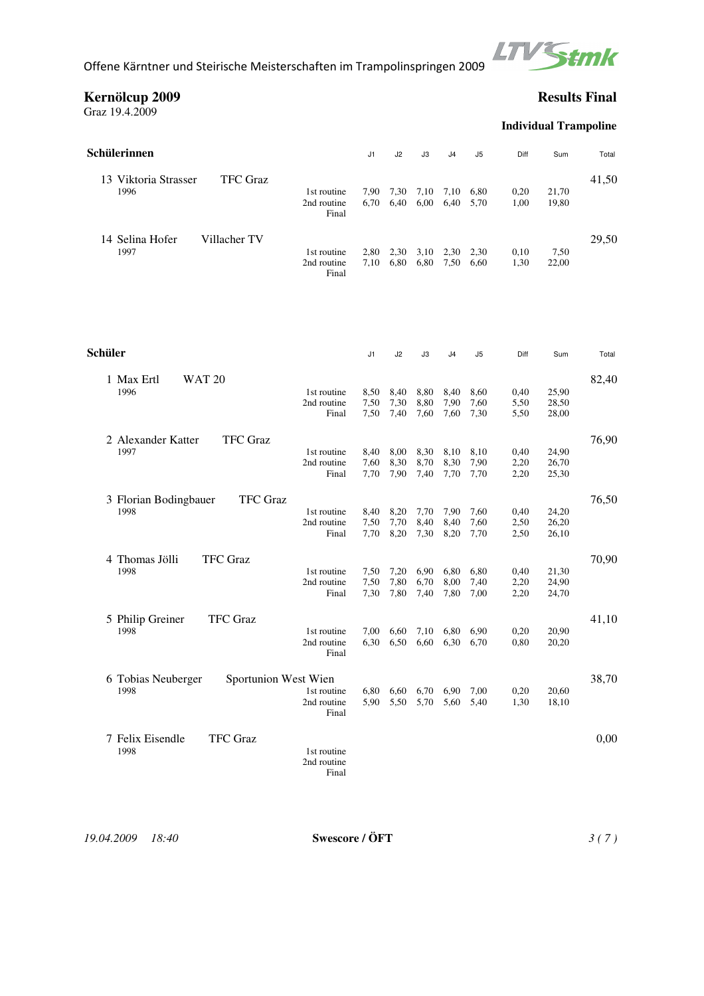

**Kernölcup 2009 Results Final**

Graz 19.4.2009

**Individual Trampoline**

| Schülerinnen                            |                      | J1   | J2   | JЗ   | J4   | J5   | Diff | Sum   | Total |
|-----------------------------------------|----------------------|------|------|------|------|------|------|-------|-------|
| <b>TFC Graz</b><br>13 Viktoria Strasser |                      |      |      |      |      |      |      |       | 41,50 |
| 1996                                    | 1st routine          | 7.90 | 7,30 | 7,10 | 7,10 | 6.80 | 0.20 | 21,70 |       |
|                                         | 2nd routine          | 6.70 | 6,40 | 6,00 | 6,40 | 5,70 | 1,00 | 19,80 |       |
|                                         | Final                |      |      |      |      |      |      |       |       |
| Villacher TV<br>14 Selina Hofer         |                      |      |      |      |      |      |      |       | 29,50 |
| 1997                                    | 1st routine          | 2,80 | 2,30 | 3,10 | 2,30 | 2.30 | 0,10 | 7,50  |       |
|                                         | 2nd routine<br>Final | 7.10 | 6,80 | 6,80 | 7,50 | 6.60 | 1,30 | 22,00 |       |

| Schüler                                    | J1            | J2   | J3   | J4   | J <sub>5</sub> | Diff | Sum   | Total |
|--------------------------------------------|---------------|------|------|------|----------------|------|-------|-------|
| <b>WAT 20</b><br>1 Max Ertl                |               |      |      |      |                |      |       | 82,40 |
| 1996<br>1st routine                        | 8,50          | 8,40 | 8,80 | 8,40 | 8,60           | 0,40 | 25,90 |       |
| 2nd routine                                | 7,50          | 7,30 | 8,80 | 7,90 | 7,60           | 5,50 | 28,50 |       |
|                                            | 7,50<br>Final | 7,40 | 7,60 | 7.60 | 7,30           | 5,50 | 28,00 |       |
| <b>TFC</b> Graz<br>2 Alexander Katter      |               |      |      |      |                |      |       | 76,90 |
| 1997<br>1st routine                        | 8,40          | 8,00 | 8,30 | 8,10 | 8,10           | 0,40 | 24,90 |       |
| 2nd routine                                | 7,60          | 8,30 | 8,70 | 8,30 | 7,90           | 2,20 | 26,70 |       |
|                                            | Final<br>7,70 | 7,90 | 7,40 | 7,70 | 7,70           | 2,20 | 25,30 |       |
| <b>TFC</b> Graz<br>3 Florian Bodingbauer   |               |      |      |      |                |      |       | 76,50 |
| 1998<br>1st routine                        | 8,40          | 8,20 | 7,70 | 7,90 | 7,60           | 0,40 | 24,20 |       |
| 2nd routine                                | 7,50          | 7,70 | 8,40 | 8,40 | 7,60           | 2,50 | 26,20 |       |
|                                            | 7,70<br>Final | 8,20 | 7,30 | 8,20 | 7,70           | 2,50 | 26,10 |       |
| <b>TFC Graz</b><br>4 Thomas Jölli          |               |      |      |      |                |      |       | 70,90 |
| 1998<br>1st routine                        | 7,50          | 7,20 | 6,90 | 6,80 | 6,80           | 0,40 | 21,30 |       |
| 2nd routine                                | 7,50          | 7,80 | 6,70 | 8,00 | 7,40           | 2,20 | 24,90 |       |
|                                            | 7,30<br>Final | 7,80 | 7,40 | 7,80 | 7,00           | 2,20 | 24,70 |       |
| <b>TFC</b> Graz<br>5 Philip Greiner        |               |      |      |      |                |      |       | 41,10 |
| 1998<br>1st routine                        | 7.00          | 6,60 | 7,10 | 6,80 | 6.90           | 0,20 | 20,90 |       |
| 2nd routine                                | 6,30          | 6,50 | 6,60 | 6,30 | 6.70           | 0,80 | 20,20 |       |
|                                            | Final         |      |      |      |                |      |       |       |
| Sportunion West Wien<br>6 Tobias Neuberger |               |      |      |      |                |      |       | 38,70 |
| 1998<br>1st routine                        | 6.80          | 6,60 | 6,70 | 6,90 | 7,00           | 0,20 | 20,60 |       |
| 2nd routine                                | 5,90<br>Final | 5,50 | 5,70 | 5,60 | 5,40           | 1,30 | 18,10 |       |
| <b>TFC</b> Graz<br>7 Felix Eisendle        |               |      |      |      |                |      |       | 0,00  |
| 1998<br>1st routine                        |               |      |      |      |                |      |       |       |
| 2nd routine                                |               |      |      |      |                |      |       |       |
|                                            | Final         |      |      |      |                |      |       |       |
|                                            |               |      |      |      |                |      |       |       |

*19.04.2009 18:40* **Swescore / ÖFT** *3 ( 7 )*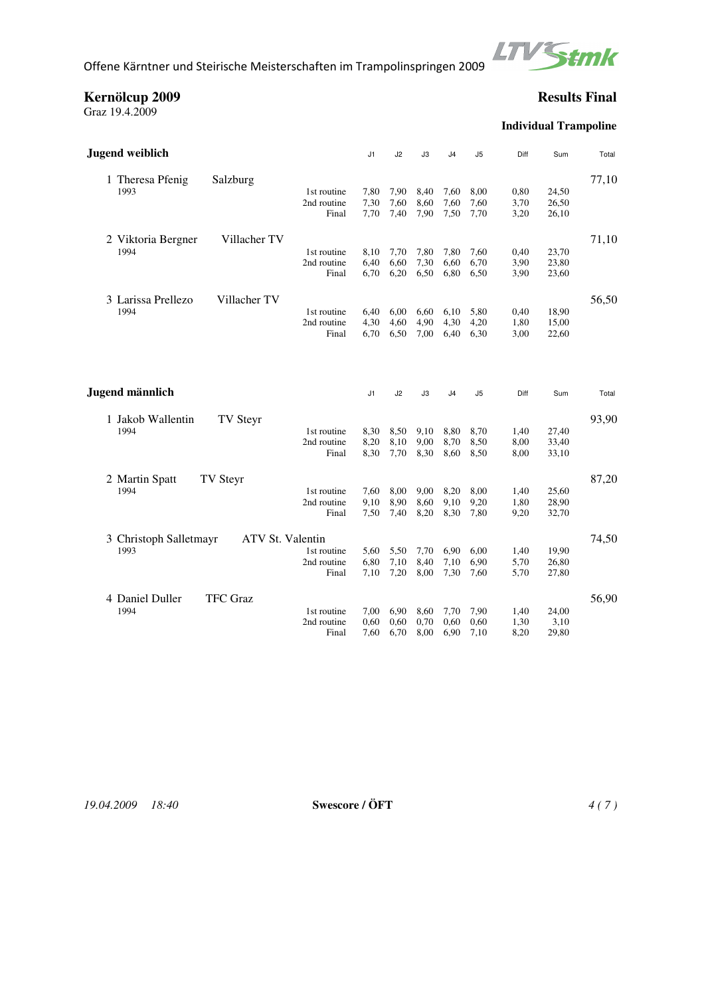

**Kernölcup 2009 Results Final**

Graz 19.4.2009

**Individual Trampoline**

| <b>Jugend weiblich</b>                                             | J1            | J2           | JЗ           | J4             | J5           | Diff         | Sum            | Total |
|--------------------------------------------------------------------|---------------|--------------|--------------|----------------|--------------|--------------|----------------|-------|
| 1 Theresa Pfenig<br>Salzburg<br>1993<br>1st routine<br>2nd routine | 7,80<br>7,30  | 7,90<br>7,60 | 8,40<br>8,60 | 7,60<br>7,60   | 8,00<br>7,60 | 0,80<br>3,70 | 24,50<br>26,50 | 77,10 |
|                                                                    | Final<br>7,70 | 7,40         | 7,90         | 7.50           | 7,70         | 3,20         | 26,10          |       |
| Villacher TV<br>2 Viktoria Bergner                                 |               |              |              |                |              |              |                | 71,10 |
| 1994<br>1st routine                                                | 8,10          | 7,70         | 7,80         | 7,80           | 7,60         | 0,40         | 23,70          |       |
| 2nd routine                                                        | 6,40          | 6,60         | 7,30         | 6,60           | 6,70         | 3,90         | 23,80          |       |
|                                                                    | 6,70<br>Final | 6,20         | 6,50         | 6,80           | 6,50         | 3,90         | 23,60          |       |
| 3 Larissa Prellezo<br>Villacher TV                                 |               |              |              |                |              |              |                | 56,50 |
| 1994<br>1st routine                                                | 6,40          | 6,00         | 6,60         | 6,10           | 5,80         | 0,40         | 18,90          |       |
| 2nd routine                                                        | 4,30          | 4,60         | 4,90         | 4,30           | 4,20         | 1,80         | 15,00          |       |
|                                                                    | Final<br>6.70 | 6,50         | 7,00         | 6,40           | 6,30         | 3,00         | 22,60          |       |
| Jugend männlich                                                    | J1            | J2           | J3           | J <sub>4</sub> | J5           | Diff         | Sum            | Total |
|                                                                    |               |              |              |                |              |              |                |       |
| 1 Jakob Wallentin<br>TV Steyr                                      |               |              |              |                |              |              |                | 93,90 |
| 1994<br>1st routine                                                | 8,30          | 8,50         | 9,10         | 8,80           | 8,70         | 1,40         | 27,40          |       |
| 2nd routine                                                        | 8,20          | 8,10         | 9,00         | 8,70           | 8,50         | 8,00         | 33,40          |       |
|                                                                    | Final<br>8,30 | 7,70         | 8,30         | 8,60           | 8,50         | 8,00         | 33,10          |       |
| 2 Martin Spatt<br>TV Steyr                                         |               |              |              |                |              |              |                | 87,20 |
| 1994<br>1st routine                                                | 7,60          | 8,00         | 9,00         | 8,20           | 8,00         | 1,40         | 25,60          |       |
| 2nd routine                                                        | 9,10          | 8,90         | 8,60         | 9,10           | 9,20         | 1,80         | 28,90          |       |
|                                                                    | 7,50<br>Final | 7,40         | 8,20         | 8,30           | 7,80         | 9,20         | 32,70          |       |
| ATV St. Valentin<br>3 Christoph Salletmayr                         |               |              |              |                |              |              |                | 74,50 |
| 1993<br>1st routine                                                | 5,60          | 5,50         | 7,70         | 6,90           | 6,00         | 1,40         | 19,90          |       |
| 2nd routine                                                        | 6,80          | 7,10         | 8,40         | 7,10           | 6,90         | 5,70         | 26,80          |       |
|                                                                    | Final<br>7,10 | 7,20         | 8,00         | 7,30           | 7,60         | 5,70         | 27,80          |       |
| 4 Daniel Duller<br><b>TFC</b> Graz                                 |               |              |              |                |              |              |                | 56,90 |
| 1994<br>1st routine                                                | 7.00          | 6,90         | 8,60         | 7,70           | 7,90         | 1,40         | 24,00          |       |
| 2nd routine                                                        | 0,60          | 0,60         | 0,70         | 0,60           | 0,60         | 1,30         | 3,10           |       |
|                                                                    | 7,60<br>Final | 6,70         | 8,00         | 6,90           | 7,10         | 8,20         | 29,80          |       |

*19.04.2009 18:40* **Swescore / ÖFT** *4 ( 7 )*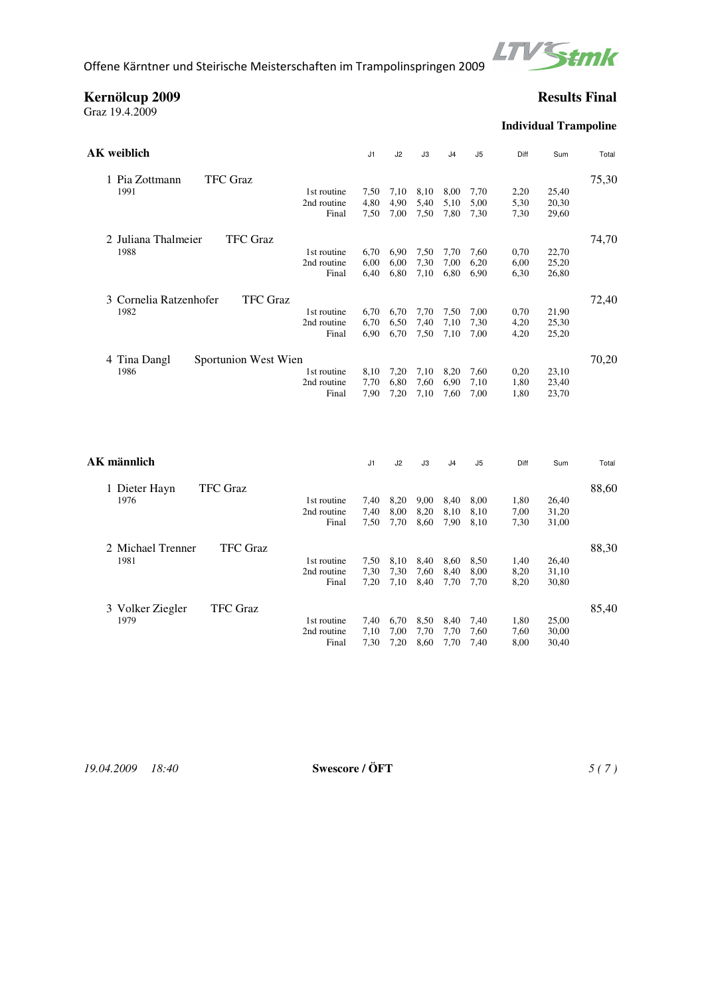

**Kernölcup 2009 Results Final**

Graz 19.4.2009

**Individual Trampoline**

| AK weiblich                               | J1   | J <sub>2</sub> | J3             | J4   | J5   | Diff | Sum   | Total |
|-------------------------------------------|------|----------------|----------------|------|------|------|-------|-------|
| <b>TFC</b> Graz<br>1 Pia Zottmann         |      |                |                |      |      |      |       | 75,30 |
| 1991<br>1st routine                       | 7,50 | 7,10           | 8,10           | 8,00 | 7,70 | 2,20 | 25,40 |       |
| 2nd routine                               | 4,80 | 4,90           | 5,40           | 5,10 | 5,00 | 5,30 | 20,30 |       |
| Final                                     | 7,50 | 7,00           | 7,50           | 7,80 | 7,30 | 7,30 | 29,60 |       |
| 2 Juliana Thalmeier<br><b>TFC</b> Graz    |      |                |                |      |      |      |       | 74,70 |
| 1988<br>1st routine                       | 6,70 | 6,90           | 7,50           | 7,70 | 7,60 | 0,70 | 22,70 |       |
| 2nd routine                               | 6,00 | 6,00           | 7,30           | 7,00 | 6,20 | 6,00 | 25,20 |       |
| Final                                     | 6,40 | 6,80           | 7,10           | 6,80 | 6,90 | 6,30 | 26,80 |       |
| 3 Cornelia Ratzenhofer<br><b>TFC</b> Graz |      |                |                |      |      |      |       | 72,40 |
| 1982<br>1st routine                       | 6,70 | 6,70           | 7,70           | 7,50 | 7,00 | 0,70 | 21,90 |       |
| 2nd routine                               | 6,70 | 6,50           | 7,40           | 7,10 | 7,30 | 4,20 | 25,30 |       |
| Final                                     | 6,90 | 6,70           | 7,50           | 7,10 | 7,00 | 4,20 | 25,20 |       |
| Sportunion West Wien<br>4 Tina Dangl      |      |                |                |      |      |      |       | 70,20 |
| 1986<br>1st routine                       | 8,10 | 7,20           | 7,10           | 8,20 | 7,60 | 0,20 | 23,10 |       |
| 2nd routine                               | 7,70 | 6,80           | 7,60           | 6,90 | 7,10 | 1,80 | 23,40 |       |
| Final                                     | 7,90 | 7,20           | 7,10           | 7,60 | 7,00 | 1,80 | 23,70 |       |
|                                           |      |                |                |      |      |      |       |       |
| AK männlich                               | J1   | J2             | J3             | J4   | J5   | Diff | Sum   | Total |
| 1 Dieter Hayn<br><b>TFC</b> Graz          |      |                |                |      |      |      |       | 88,60 |
| 1976<br>1st routine                       | 7,40 | 8,20           | 9,00           | 8,40 | 8,00 | 1,80 | 26,40 |       |
| 2nd routine                               | 7,40 | 8,00           | 8,20           | 8,10 | 8,10 | 7,00 | 31,20 |       |
| Final                                     | 7,50 | 7,70           | 8,60           | 7.90 | 8.10 | 7,30 | 31,00 |       |
| 2 Michael Trenner<br><b>TFC</b> Graz      |      |                |                |      |      |      |       | 88,30 |
| 1981<br>1st routine                       | 7,50 | 8,10           | 8,40           | 8,60 | 8,50 | 1,40 | 26,40 |       |
| 2nd routine                               | 7,30 | 7,30           | 7,60           | 8,40 | 8,00 | 8,20 | 31,10 |       |
| Final                                     | 7,20 | 7,10           | 8,40           | 7,70 | 7,70 | 8,20 | 30,80 |       |
| <b>TFC</b> Graz<br>3 Volker Ziegler       |      |                |                |      |      |      |       | 85,40 |
| 1979<br>1st routine                       | 7,40 |                | 6,70 8,50 8,40 |      | 7.40 | 1,80 | 25,00 |       |

*19.04.2009 18:40* **Swescore / ÖFT** *5 ( 7 )* 

1st routine 7,40 6,70 8,50 8,40 7,40 1,80 25,00<br>2nd routine 7.10 7.00 7.70 7.70 7.60 7.60 30.00 2nd routine 7,10 7,00 7,70 7,70 7,60 7,60 30,00 Final 7,30 7,20 8,60 7,70 7,40 8,00 30,40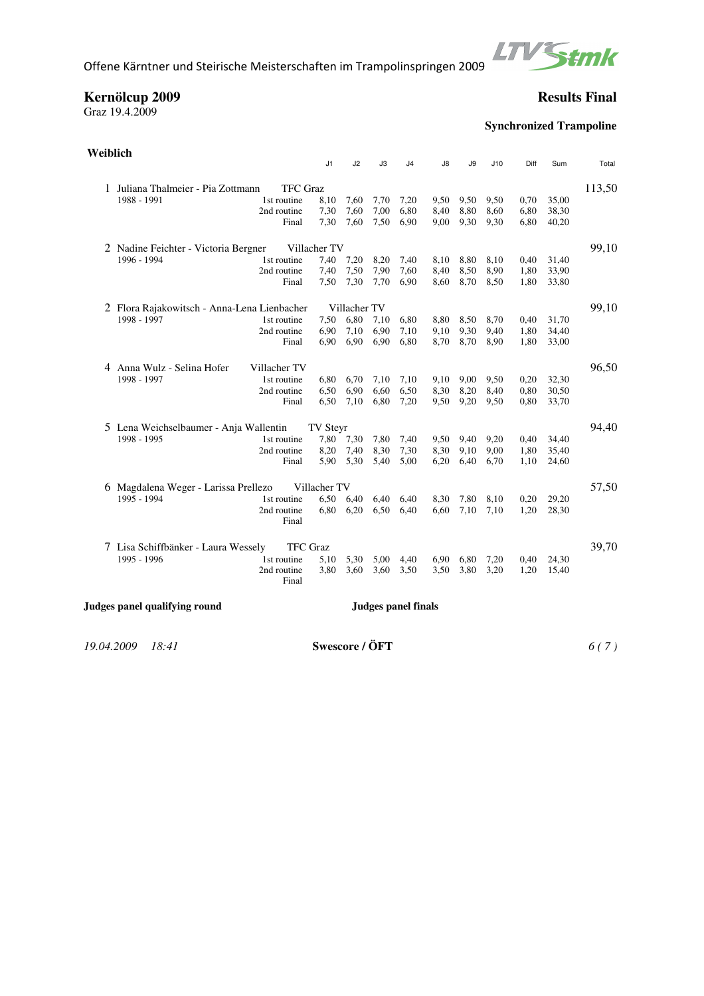

### **Kernölcup 2009 Results Final**

Graz 19.4.2009

# **Synchronized Trampoline**

| Weiblich                                                    |                                                       |                      | J1           | J2           | J3   | J4   | J8   | J9   | J10  | Diff | Sum   | Total  |
|-------------------------------------------------------------|-------------------------------------------------------|----------------------|--------------|--------------|------|------|------|------|------|------|-------|--------|
|                                                             |                                                       |                      |              |              |      |      |      |      |      |      |       |        |
|                                                             | 1 Juliana Thalmeier - Pia Zottmann<br><b>TFC</b> Graz |                      |              |              |      |      |      |      |      |      |       | 113,50 |
|                                                             | 1988 - 1991                                           | 1st routine          | 8,10         | 7,60         | 7,70 | 7,20 | 9,50 | 9,50 | 9,50 | 0.70 | 35,00 |        |
|                                                             |                                                       | 2nd routine          | 7,30         | 7,60         | 7,00 | 6,80 | 8,40 | 8,80 | 8,60 | 6,80 | 38,30 |        |
|                                                             |                                                       | Final                | 7,30         | 7,60         | 7,50 | 6,90 | 9,00 | 9,30 | 9,30 | 6,80 | 40,20 |        |
|                                                             | 2 Nadine Feichter - Victoria Bergner<br>Villacher TV  |                      |              |              |      |      |      |      |      |      |       |        |
|                                                             | 1996 - 1994                                           | 1st routine          | 7,40         | 7,20         | 8,20 | 7,40 | 8,10 | 8,80 | 8,10 | 0,40 | 31,40 |        |
|                                                             |                                                       | 2nd routine          | 7,40         | 7,50         | 7,90 | 7,60 | 8,40 | 8,50 | 8,90 | 1,80 | 33,90 |        |
|                                                             |                                                       | Final                | 7,50         | 7,30         | 7,70 | 6,90 | 8,60 | 8,70 | 8,50 | 1,80 | 33,80 |        |
|                                                             | 2 Flora Rajakowitsch - Anna-Lena Lienbacher           |                      |              | Villacher TV |      |      |      |      |      |      |       | 99,10  |
|                                                             | 1998 - 1997                                           | 1st routine          | 7,50         | 6,80         | 7,10 | 6,80 | 8,80 | 8,50 | 8,70 | 0,40 | 31,70 |        |
|                                                             |                                                       | 2nd routine          | 6,90         | 7,10         | 6,90 | 7,10 | 9,10 | 9,30 | 9,40 | 1,80 | 34,40 |        |
|                                                             |                                                       | Final                | 6,90         | 6,90         | 6,90 | 6,80 | 8,70 | 8,70 | 8,90 | 1,80 | 33,00 |        |
|                                                             | 4 Anna Wulz - Selina Hofer                            | Villacher TV         |              |              |      |      |      |      |      |      |       | 96,50  |
|                                                             | 1998 - 1997                                           | 1st routine          | 6,80         | 6,70         | 7,10 | 7,10 | 9,10 | 9,00 | 9,50 | 0,20 | 32,30 |        |
|                                                             |                                                       | 2nd routine          | 6,50         | 6,90         | 6,60 | 6,50 | 8,30 | 8,20 | 8,40 | 0,80 | 30,50 |        |
|                                                             |                                                       | Final                | 6,50         | 7,10         | 6,80 | 7,20 | 9,50 | 9,20 | 9,50 | 0,80 | 33,70 |        |
|                                                             | 5 Lena Weichselbaumer - Anja Wallentin                |                      | TV Steyr     |              |      |      |      |      |      |      |       | 94,40  |
|                                                             | 1998 - 1995                                           | 1st routine          | 7,80         | 7,30         | 7,80 | 7,40 | 9,50 | 9,40 | 9.20 | 0,40 | 34,40 |        |
|                                                             |                                                       | 2nd routine          | 8,20         | 7,40         | 8,30 | 7,30 | 8,30 | 9.10 | 9,00 | 1,80 | 35,40 |        |
|                                                             |                                                       | Final                | 5.90         | 5,30         | 5,40 | 5,00 | 6,20 | 6,40 | 6,70 | 1,10 | 24,60 |        |
|                                                             | 6 Magdalena Weger - Larissa Prellezo                  |                      | Villacher TV |              |      |      |      |      |      |      |       | 57,50  |
|                                                             | 1995 - 1994                                           | 1st routine          |              | 6,50 6,40    | 6,40 | 6,40 | 8,30 | 7,80 | 8,10 | 0,20 | 29,20 |        |
|                                                             |                                                       | 2nd routine<br>Final | 6.80         | 6,20         | 6,50 | 6,40 | 6,60 | 7,10 | 7,10 | 1,20 | 28,30 |        |
|                                                             | 7 Lisa Schiffbänker - Laura Wessely                   | <b>TFC</b> Graz      |              |              |      |      |      |      |      |      |       | 39,70  |
|                                                             | 1995 - 1996                                           | 1st routine          | 5,10         | 5,30         | 5,00 | 4,40 | 6.90 | 6,80 | 7,20 | 0,40 | 24,30 |        |
|                                                             |                                                       | 2nd routine          | 3,80         | 3,60         | 3,60 | 3,50 | 3,50 | 3,80 | 3,20 | 1,20 | 15,40 |        |
|                                                             |                                                       | Final                |              |              |      |      |      |      |      |      |       |        |
| Judges panel qualifying round<br><b>Judges panel finals</b> |                                                       |                      |              |              |      |      |      |      |      |      |       |        |
|                                                             |                                                       |                      |              |              |      |      |      |      |      |      |       |        |

*19.04.2009 18:41* **Swescore / ÖFT** *6 ( 7 )*